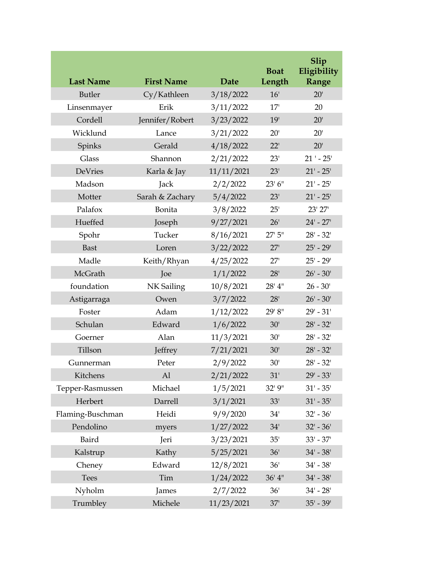| <b>Last Name</b> | <b>First Name</b> | Date       | <b>Boat</b><br>Length | Slip<br>Eligibility<br>Range |
|------------------|-------------------|------------|-----------------------|------------------------------|
| Butler           | Cy/Kathleen       | 3/18/2022  | 16'                   | 20'                          |
| Linsenmayer      | Erik              | 3/11/2022  | 17'                   | 20                           |
| Cordell          | Jennifer/Robert   | 3/23/2022  | 19'                   | 20'                          |
| Wicklund         | Lance             | 3/21/2022  | 20'                   | 20'                          |
| Spinks           | Gerald            | 4/18/2022  | 22'                   | 20'                          |
| Glass            | Shannon           | 2/21/2022  | 23'                   | $21' - 25'$                  |
| DeVries          | Karla & Jay       | 11/11/2021 | 23'                   | $21' - 25'$                  |
| Madson           | Jack              | 2/2/2022   | 23'6''                | $21' - 25'$                  |
| Motter           | Sarah & Zachary   | 5/4/2022   | 23'                   | $21' - 25'$                  |
| Palafox          | Bonita            | 3/8/2022   | 25'                   | 23' 27'                      |
| Hueffed          | Joseph            | 9/27/2021  | 26'                   | $24' - 27'$                  |
| Spohr            | Tucker            | 8/16/2021  | 27'5''                | $28' - 32'$                  |
| <b>Bast</b>      | Loren             | 3/22/2022  | 27'                   | $25' - 29'$                  |
| Madle            | Keith/Rhyan       | 4/25/2022  | 27'                   | $25' - 29'$                  |
| McGrath          | Joe               | 1/1/2022   | 28'                   | $26' - 30'$                  |
| foundation       | NK Sailing        | 10/8/2021  | 28' 4"                | $26 - 30'$                   |
| Astigarraga      | Owen              | 3/7/2022   | 28'                   | $26' - 30'$                  |
| Foster           | Adam              | 1/12/2022  | 29' 8"                | $29' - 31'$                  |
| Schulan          | Edward            | 1/6/2022   | 30'                   | $28' - 32'$                  |
| Goerner          | Alan              | 11/3/2021  | 30'                   | $28' - 32'$                  |
| Tillson          | Jeffrey           | 7/21/2021  | 30'                   | $28' - 32'$                  |
| Gunnerman        | Peter             | 2/9/2022   | 30'                   | $28' - 32'$                  |
| Kitchens         | Al                | 2/21/2022  | 31'                   | $29' - 33'$                  |
| Tepper-Rasmussen | Michael           | 1/5/2021   | 32' 9"                | $31' - 35'$                  |
| Herbert          | Darrell           | 3/1/2021   | 33'                   | $31' - 35'$                  |
| Flaming-Buschman | Heidi             | 9/9/2020   | 34'                   | $32' - 36'$                  |
| Pendolino        | myers             | 1/27/2022  | 34'                   | $32' - 36'$                  |
| Baird            | Jeri              | 3/23/2021  | 35'                   | $33' - 37'$                  |
| Kalstrup         | Kathy             | 5/25/2021  | 36'                   | $34' - 38'$                  |
| Cheney           | Edward            | 12/8/2021  | 36'                   | $34' - 38'$                  |
| <b>Tees</b>      | Tim               | 1/24/2022  | 36' 4''               | $34' - 38'$                  |
| Nyholm           | James             | 2/7/2022   | 36'                   | $34' - 28'$                  |
| Trumbley         | Michele           | 11/23/2021 | 37'                   | $35' - 39'$                  |